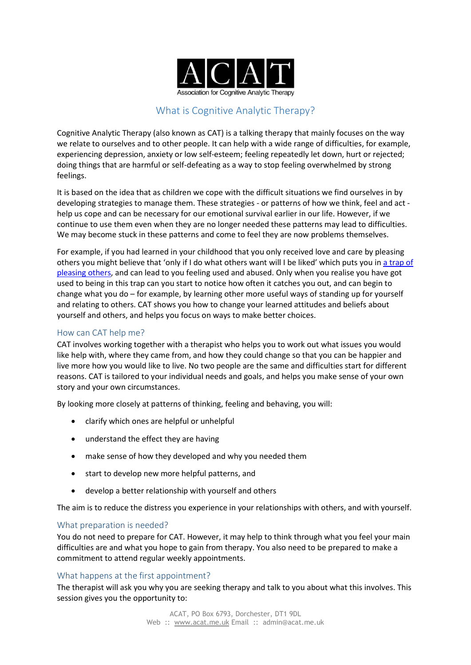

# What is Cognitive Analytic Therapy?

Cognitive Analytic Therapy (also known as CAT) is a talking therapy that mainly focuses on the way we relate to ourselves and to other people. It can help with a wide range of difficulties, for example, experiencing depression, anxiety or low self-esteem; feeling repeatedly let down, hurt or rejected; doing things that are harmful or self-defeating as a way to stop feeling overwhelmed by strong feelings.

It is based on the idea that as children we cope with the difficult situations we find ourselves in by developing strategies to manage them. These strategies - or patterns of how we think, feel and act help us cope and can be necessary for our emotional survival earlier in our life. However, if we continue to use them even when they are no longer needed these patterns may lead to difficulties. We may become stuck in these patterns and come to feel they are now problems themselves.

For example, if you had learned in your childhood that you only received love and care by pleasing others you might believe that 'only if I do what others want will I be liked' which puts you in a trap of pleasing others, and can lead to you feeling used and abused. Only when you realise you have got used to being in this trap can you start to notice how often it catches you out, and can begin to change what you do – for example, by learning other more useful ways of standing up for yourself and relating to others. CAT shows you how to change your learned attitudes and beliefs about yourself and others, and helps you focus on ways to make better choices.

## How can CAT help me?

CAT involves working together with a therapist who helps you to work out what issues you would like help with, where they came from, and how they could change so that you can be happier and live more how you would like to live. No two people are the same and difficulties start for different reasons. CAT is tailored to your individual needs and goals, and helps you make sense of your own story and your own circumstances.

By looking more closely at patterns of thinking, feeling and behaving, you will:

- clarify which ones are helpful or unhelpful
- understand the effect they are having
- make sense of how they developed and why you needed them
- start to develop new more helpful patterns, and
- develop a better relationship with yourself and others

The aim is to reduce the distress you experience in your relationships with others, and with yourself.

#### What preparation is needed?

You do not need to prepare for CAT. However, it may help to think through what you feel your main difficulties are and what you hope to gain from therapy. You also need to be prepared to make a commitment to attend regular weekly appointments.

## What happens at the first appointment?

The therapist will ask you why you are seeking therapy and talk to you about what this involves. This session gives you the opportunity to: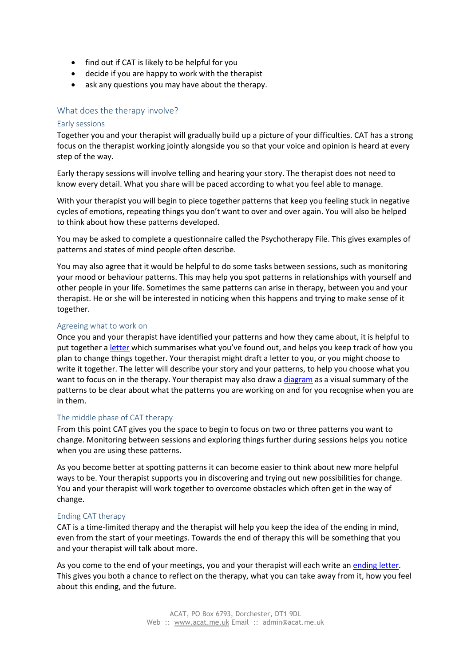- find out if CAT is likely to be helpful for you
- decide if you are happy to work with the therapist
- ask any questions you may have about the therapy.

## What does the therapy involve?

#### Early sessions

Together you and your therapist will gradually build up a picture of your difficulties. CAT has a strong focus on the therapist working jointly alongside you so that your voice and opinion is heard at every step of the way.

Early therapy sessions will involve telling and hearing your story. The therapist does not need to know every detail. What you share will be paced according to what you feel able to manage.

With your therapist you will begin to piece together patterns that keep you feeling stuck in negative cycles of emotions, repeating things you don't want to over and over again. You will also be helped to think about how these patterns developed.

You may be asked to complete a questionnaire called the Psychotherapy File. This gives examples of patterns and states of mind people often describe.

You may also agree that it would be helpful to do some tasks between sessions, such as monitoring your mood or behaviour patterns. This may help you spot patterns in relationships with yourself and other people in your life. Sometimes the same patterns can arise in therapy, between you and your therapist. He or she will be interested in noticing when this happens and trying to make sense of it together.

## Agreeing what to work on

Once you and your therapist have identified your patterns and how they came about, it is helpful to put together a letter which summarises what you've found out, and helps you keep track of how you plan to change things together. Your therapist might draft a letter to you, or you might choose to write it together. The letter will describe your story and your patterns, to help you choose what you want to focus on in the therapy. Your therapist may also draw a diagram as a visual summary of the patterns to be clear about what the patterns you are working on and for you recognise when you are in them.

## The middle phase of CAT therapy

From this point CAT gives you the space to begin to focus on two or three patterns you want to change. Monitoring between sessions and exploring things further during sessions helps you notice when you are using these patterns.

As you become better at spotting patterns it can become easier to think about new more helpful ways to be. Your therapist supports you in discovering and trying out new possibilities for change. You and your therapist will work together to overcome obstacles which often get in the way of change.

## Ending CAT therapy

CAT is a time-limited therapy and the therapist will help you keep the idea of the ending in mind, even from the start of your meetings. Towards the end of therapy this will be something that you and your therapist will talk about more.

As you come to the end of your meetings, you and your therapist will each write an ending letter. This gives you both a chance to reflect on the therapy, what you can take away from it, how you feel about this ending, and the future.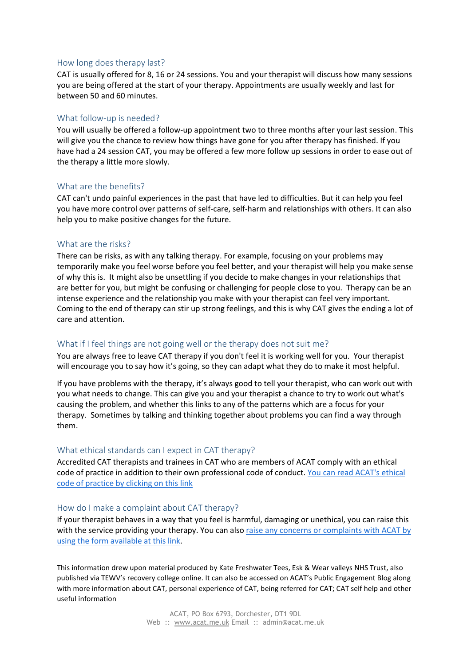## How long does therapy last?

CAT is usually offered for 8, 16 or 24 sessions. You and your therapist will discuss how many sessions you are being offered at the start of your therapy. Appointments are usually weekly and last for between 50 and 60 minutes.

#### What follow-up is needed?

You will usually be offered a follow-up appointment two to three months after your last session. This will give you the chance to review how things have gone for you after therapy has finished. If you have had a 24 session CAT, you may be offered a few more follow up sessions in order to ease out of the therapy a little more slowly.

#### What are the benefits?

CAT can't undo painful experiences in the past that have led to difficulties. But it can help you feel you have more control over patterns of self-care, self-harm and relationships with others. It can also help you to make positive changes for the future.

#### What are the risks?

There can be risks, as with any talking therapy. For example, focusing on your problems may temporarily make you feel worse before you feel better, and your therapist will help you make sense of why this is. It might also be unsettling if you decide to make changes in your relationships that are better for you, but might be confusing or challenging for people close to you. Therapy can be an intense experience and the relationship you make with your therapist can feel very important. Coming to the end of therapy can stir up strong feelings, and this is why CAT gives the ending a lot of care and attention.

## What if I feel things are not going well or the therapy does not suit me?

You are always free to leave CAT therapy if you don't feel it is working well for you. Your therapist will encourage you to say how it's going, so they can adapt what they do to make it most helpful.

If you have problems with the therapy, it's always good to tell your therapist, who can work out with you what needs to change. This can give you and your therapist a chance to try to work out what's causing the problem, and whether this links to any of the patterns which are a focus for your therapy. Sometimes by talking and thinking together about problems you can find a way through them.

#### What ethical standards can I expect in CAT therapy?

Accredited CAT therapists and trainees in CAT who are members of ACAT comply with an ethical code of practice in addition to their own professional code of conduct. You can read ACAT's ethical code of practice by clicking on this link

#### How do I make a complaint about CAT therapy?

If your therapist behaves in a way that you feel is harmful, damaging or unethical, you can raise this with the service providing your therapy. You can also raise any concerns or complaints with ACAT by using the form available at this link.

This information drew upon material produced by Kate Freshwater Tees, Esk & Wear valleys NHS Trust, also published via TEWV's recovery college online. It can also be accessed on ACAT's Public Engagement Blog along with more information about CAT, personal experience of CAT, being referred for CAT; CAT self help and other useful information

> ACAT, PO Box 6793, Dorchester, DT1 9DL Web :: www.acat.me.uk Email :: admin@acat.me.uk